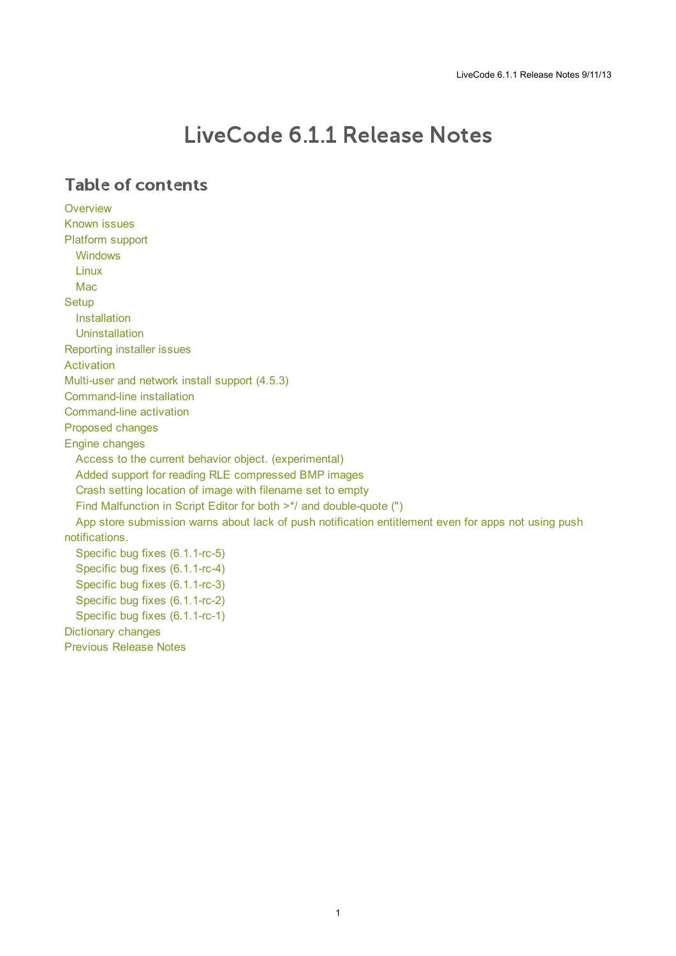# LiveCode 6.1.1 Release Notes

### **Table of contents**

**[Overview](#page-1-0)** [Known](#page-1-1) issues [Platform](#page-1-2) support [Windows](#page-1-3) [Linux](#page-1-4) [Mac](#page-2-0) **[Setup](#page-3-0)** [Installation](#page-3-1) **[Uninstallation](#page-3-2)** [Reporting](#page-3-3) installer issues [Activation](#page-4-0) [Multi-user](#page-4-1) and network install support (4.5.3) [Command-line](#page-4-2) installation [Command-line](#page-5-0) activation [Proposed](#page-5-1) changes Engine [changes](#page-6-0) Access to the current behavior object. [\(experimental\)](#page-6-1) Added support for reading RLE [compressed](#page-6-2) BMP images Crash setting location of image with [filename](#page-6-3) set to empty Find Malfunction in Script Editor for both >\*/ and [double-quote](#page-6-4) (") App store submission warns about lack of push notification entitlement even for apps not using push [notifications.](#page-6-5) Specific bug fixes [\(6.1.1-rc-5\)](#page-6-6) Specific bug fixes [\(6.1.1-rc-4\)](#page-7-0) Specific bug fixes [\(6.1.1-rc-3\)](#page-7-1) Specific bug fixes [\(6.1.1-rc-2\)](#page-7-2) Specific bug fixes [\(6.1.1-rc-1\)](#page-8-0) [Dictionary](#page-8-1) changes [Previous](#page-9-0) Release Notes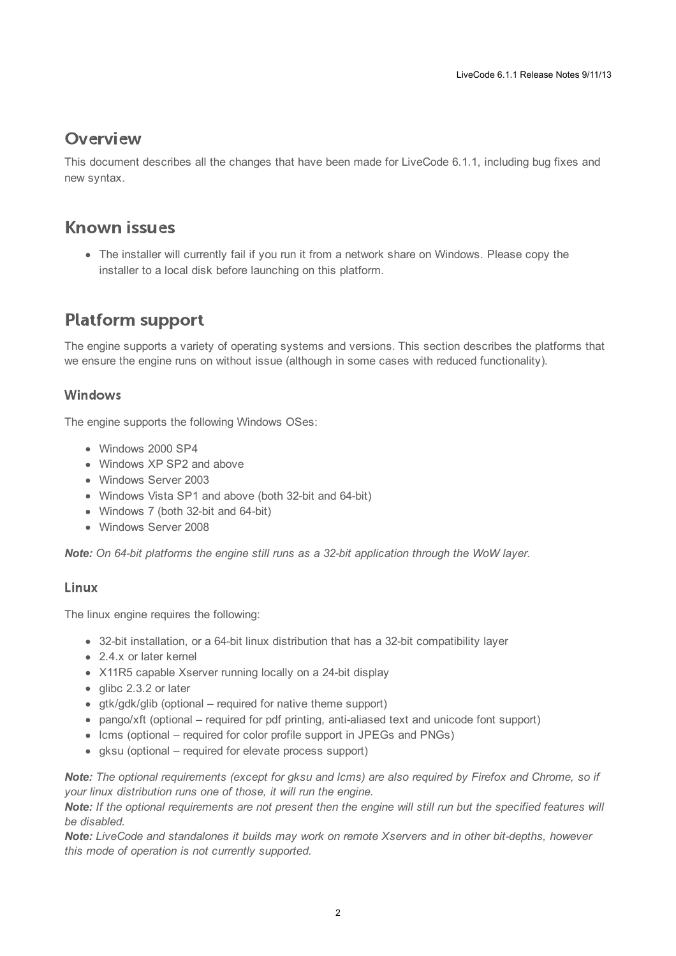### <span id="page-1-0"></span>**Overview**

This document describes all the changes that have been made for LiveCode 6.1.1, including bug fixes and new syntax.

### <span id="page-1-1"></span>**Known issues**

The installer will currently fail if you run it from a network share on Windows. Please copy the installer to a local disk before launching on this platform.

# <span id="page-1-2"></span>**Platform support**

The engine supports a variety of operating systems and versions. This section describes the platforms that we ensure the engine runs on without issue (although in some cases with reduced functionality).

### <span id="page-1-3"></span>Windows

The engine supports the following Windows OSes:

- Windows 2000 SP4
- Windows XP SP2 and above
- Windows Server 2003
- Windows Vista SP1 and above (both 32-bit and 64-bit)
- Windows 7 (both 32-bit and 64-bit)
- Windows Server 2008

*Note: On 64-bit platforms the engine still runs as a 32-bit application through the WoW layer.*

### <span id="page-1-4"></span>Linux

The linux engine requires the following:

- 32-bit installation, or a 64-bit linux distribution that has a 32-bit compatibility layer
- 2.4.x or later kernel
- X11R5 capable Xserver running locally on a 24-bit display
- glibc 2.3.2 or later
- gtk/gdk/glib (optional required for native theme support)
- pango/xft (optional required for pdf printing, anti-aliased text and unicode font support)
- lcms (optional required for color profile support in JPEGs and PNGs)
- gksu (optional required for elevate process support)

Note: The optional requirements (except for gksu and Icms) are also required by Firefox and Chrome, so if *your linux distribution runs one of those, it will run the engine.*

Note: If the optional requirements are not present then the engine will still run but the specified features will *be disabled.*

*Note: LiveCode and standalones it builds may work on remote Xservers and in other bit-depths, however this mode of operation is not currently supported.*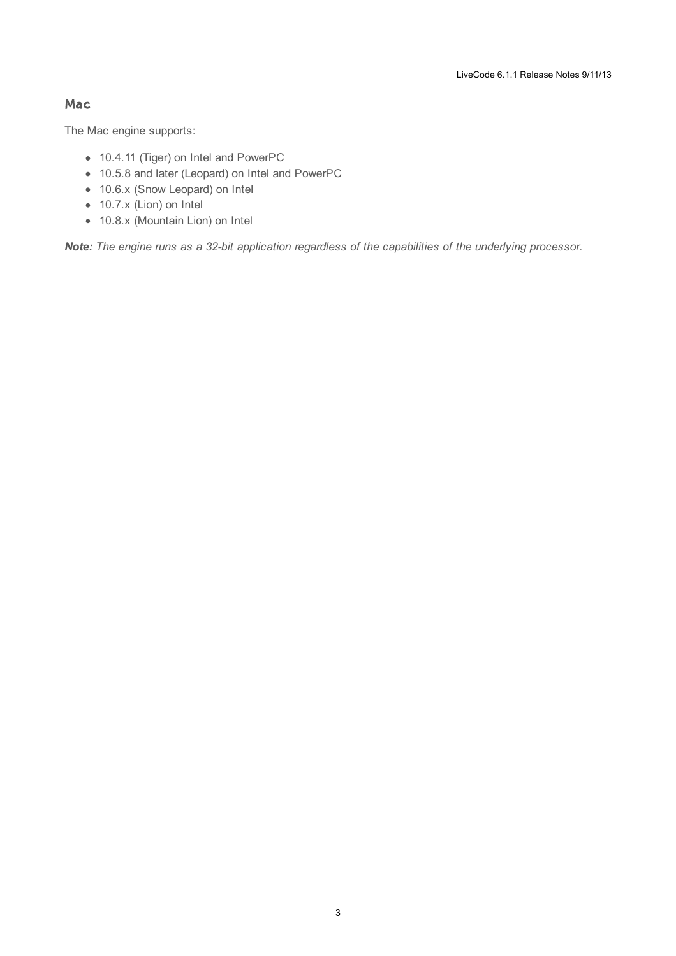#### <span id="page-2-0"></span>Mac

The Mac engine supports:

- 10.4.11 (Tiger) on Intel and PowerPC
- 10.5.8 and later (Leopard) on Intel and PowerPC
- 10.6.x (Snow Leopard) on Intel
- 10.7.x (Lion) on Intel
- 10.8.x (Mountain Lion) on Intel

*Note: The engine runs as a 32-bit application regardless of the capabilities of the underlying processor.*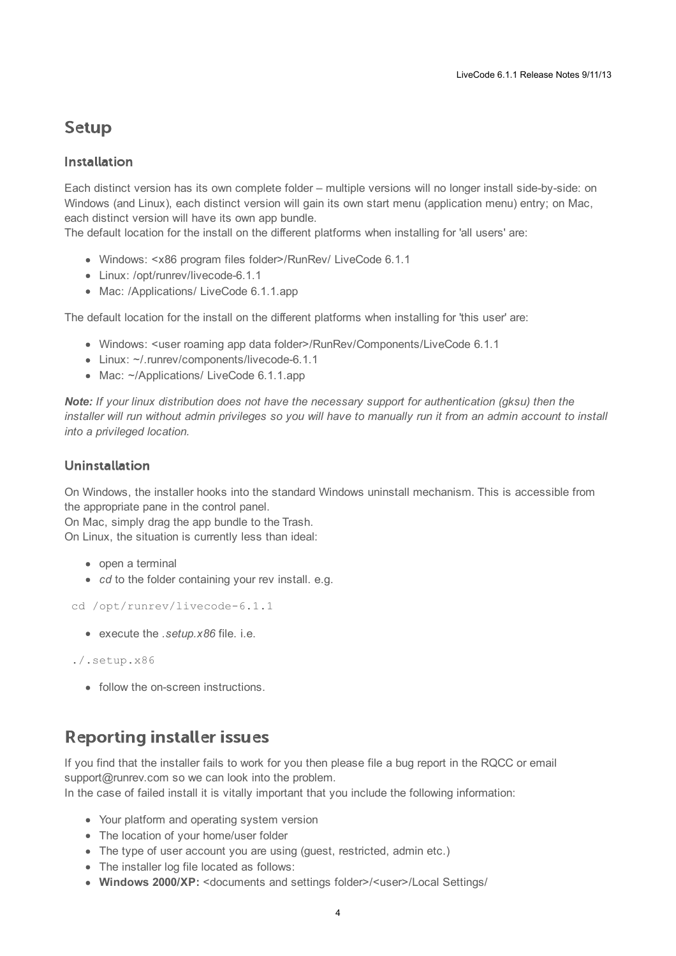### <span id="page-3-0"></span>**Setup**

### <span id="page-3-1"></span>**Installation**

Each distinct version has its own complete folder – multiple versions will no longer install side-by-side: on Windows (and Linux), each distinct version will gain its own start menu (application menu) entry; on Mac, each distinct version will have its own app bundle.

The default location for the install on the different platforms when installing for 'all users' are:

- Windows: <x86 program files folder>/RunRev/ LiveCode 6.1.1
- Linux: /opt/runrev/livecode-6.1.1
- Mac: /Applications/ LiveCode 6.1.1.app

The default location for the install on the different platforms when installing for 'this user' are:

- Windows: <user roaming app data folder>/RunRev/Components/LiveCode 6.1.1
- Linux: ~/.runrev/components/livecode-6.1.1
- Mac: ~/Applications/ LiveCode 6.1.1.app

*Note: If your linux distribution does not have the necessary support for authentication (gksu) then the* installer will run without admin privileges so you will have to manually run it from an admin account to install *into a privileged location.*

### <span id="page-3-2"></span>**Uninstallation**

On Windows, the installer hooks into the standard Windows uninstall mechanism. This is accessible from the appropriate pane in the control panel.

On Mac, simply drag the app bundle to the Trash. On Linux, the situation is currently less than ideal:

- open a terminal
- *cd* to the folder containing your rev install, e.g.

```
cd /opt/runrev/livecode-6.1.1
```
execute the *.setup.x86* file. i.e.

```
./.setup.x86
```
• follow the on-screen instructions.

### <span id="page-3-3"></span>**Reporting installer issues**

If you find that the installer fails to work for you then please file a bug report in the RQCC or email support@runrev.com so we can look into the problem.

In the case of failed install it is vitally important that you include the following information:

- Your platform and operating system version
- The location of your home/user folder
- The type of user account you are using (quest, restricted, admin etc.)
- The installer log file located as follows:
- **Windows 2000/XP:** <documents and settings folder>/<user>/Local Settings/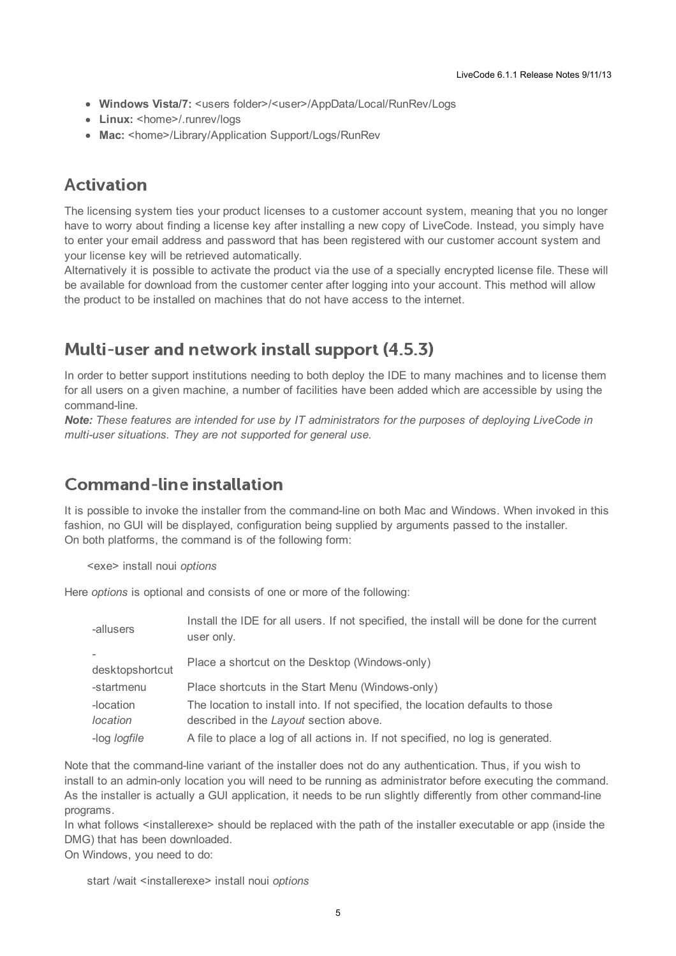- **Windows Vista/7:** <users folder>/<user>/AppData/Local/RunRev/Logs
- Linux: <home>/.runrev/logs
- Mac: <home>/Library/Application Support/Logs/RunRev

### <span id="page-4-0"></span>**Activation**

The licensing system ties your product licenses to a customer account system, meaning that you no longer have to worry about finding a license key after installing a new copy of LiveCode. Instead, you simply have to enter your email address and password that has been registered with our customer account system and your license key will be retrieved automatically.

Alternatively it is possible to activate the product via the use of a specially encrypted license file. These will be available for download from the customer center after logging into your account. This method will allow the product to be installed on machines that do not have access to the internet.

### <span id="page-4-1"></span>Multi-user and network install support (4.5.3)

In order to better support institutions needing to both deploy the IDE to many machines and to license them for all users on a given machine, a number of facilities have been added which are accessible by using the command-line.

*Note: These features are intended for use by IT administrators for the purposes of deploying LiveCode in multi-user situations. They are not supported for general use.*

### <span id="page-4-2"></span>**Command-line installation**

It is possible to invoke the installer from the command-line on both Mac and Windows. When invoked in this fashion, no GUI will be displayed, configuration being supplied by arguments passed to the installer. On both platforms, the command is of the following form:

<exe> install noui *options*

Here *options* is optional and consists of one or more of the following:

| -allusers           | Install the IDE for all users. If not specified, the install will be done for the current<br>user only. |
|---------------------|---------------------------------------------------------------------------------------------------------|
| desktopshortcut     | Place a shortcut on the Desktop (Windows-only)                                                          |
|                     |                                                                                                         |
| -startmenu          | Place shortcuts in the Start Menu (Windows-only)                                                        |
| -location           | The location to install into. If not specified, the location defaults to those                          |
| location            | described in the Layout section above.                                                                  |
| -log <i>logfile</i> | A file to place a log of all actions in. If not specified, no log is generated.                         |

Note that the command-line variant of the installer does not do any authentication. Thus, if you wish to install to an admin-only location you will need to be running as administrator before executing the command. As the installer is actually a GUI application, it needs to be run slightly differently from other command-line programs.

In what follows <installerexe> should be replaced with the path of the installer executable or app (inside the DMG) that has been downloaded.

On Windows, you need to do:

start /wait <installerexe> install noui *options*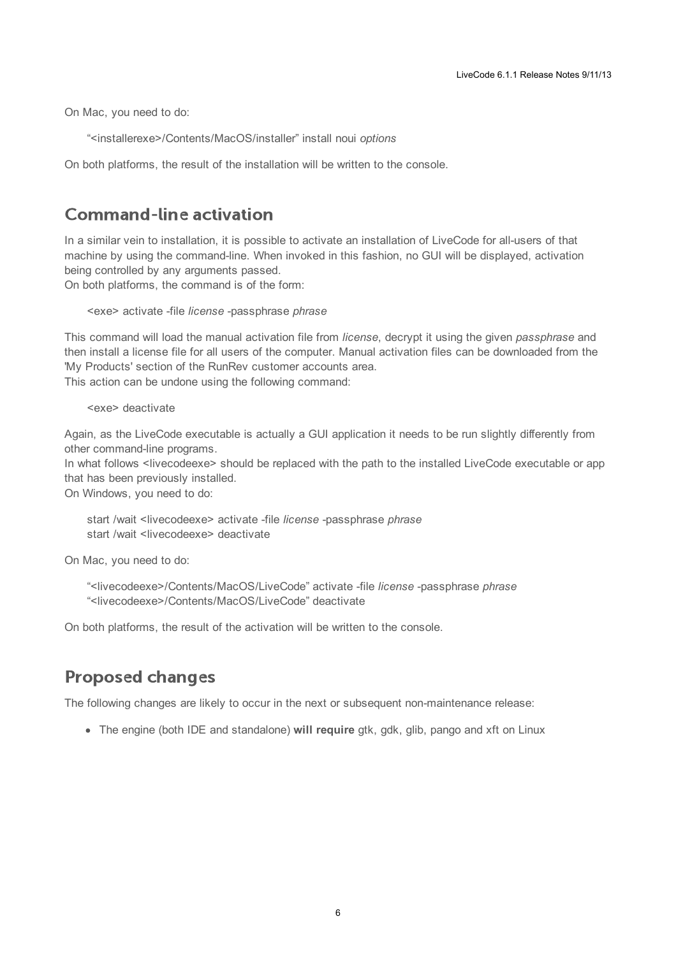On Mac, you need to do:

"<installerexe>/Contents/MacOS/installer" install noui *options*

On both platforms, the result of the installation will be written to the console.

### <span id="page-5-0"></span>**Command-line activation**

In a similar vein to installation, it is possible to activate an installation of LiveCode for all-users of that machine by using the command-line. When invoked in this fashion, no GUI will be displayed, activation being controlled by any arguments passed.

On both platforms, the command is of the form:

<exe> activate -file *license* -passphrase *phrase*

This command will load the manual activation file from *license*, decrypt it using the given *passphrase* and then install a license file for all users of the computer. Manual activation files can be downloaded from the 'My Products' section of the RunRev customer accounts area.

This action can be undone using the following command:

<exe> deactivate

Again, as the LiveCode executable is actually a GUI application it needs to be run slightly differently from other command-line programs.

In what follows <livecodeexe> should be replaced with the path to the installed LiveCode executable or app that has been previously installed.

On Windows, you need to do:

start /wait <livecodeexe> activate -file *license* -passphrase *phrase* start /wait <livecodeexe> deactivate

On Mac, you need to do:

"<livecodeexe>/Contents/MacOS/LiveCode" activate -file *license* -passphrase *phrase* "<livecodeexe>/Contents/MacOS/LiveCode" deactivate

On both platforms, the result of the activation will be written to the console.

### <span id="page-5-1"></span>**Proposed changes**

The following changes are likely to occur in the next or subsequent non-maintenance release:

• The engine (both IDE and standalone) **will require** gtk, gdk, glib, pango and xft on Linux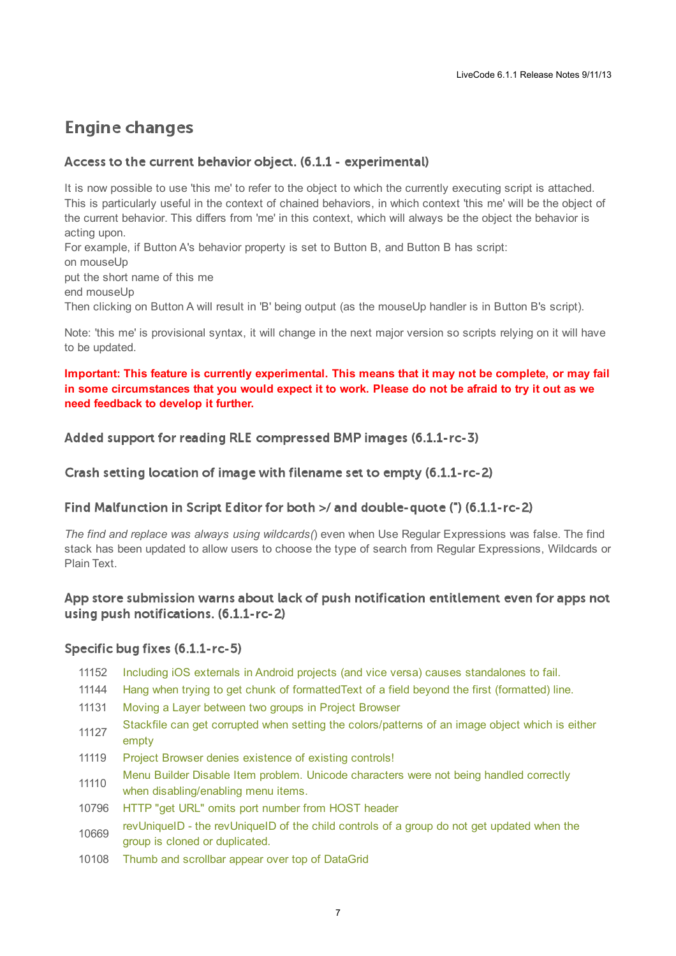# <span id="page-6-0"></span>**Engine changes**

#### <span id="page-6-1"></span>Access to the current behavior object. (6.1.1 - experimental)

It is now possible to use 'this me' to refer to the object to which the currently executing script is attached. This is particularly useful in the context of chained behaviors, in which context 'this me' will be the object of the current behavior. This differs from 'me' in this context, which will always be the object the behavior is acting upon. For example, if Button A's behavior property is set to Button B, and Button B has script: on mouseUp put the short name of this me

end mouseUp

Then clicking on Button A will result in 'B' being output (as the mouseUp handler is in Button B's script).

Note: 'this me' is provisional syntax, it will change in the next major version so scripts relying on it will have to be updated.

#### **Important: This feature is currently experimental. This means that it may not be complete, or may fail** in some circumstances that you would expect it to work. Please do not be afraid to try it out as we **need feedback to develop it further.**

<span id="page-6-2"></span>Added support for reading RLE compressed BMP images (6.1.1-rc-3)

<span id="page-6-3"></span>Crash setting location of image with filename set to empty (6.1.1-rc-2)

#### <span id="page-6-4"></span>Find Malfunction in Script Editor for both >/ and double-quote (\*) (6.1.1-rc-2)

*The find and replace was always using wildcards(*) even when Use Regular Expressions was false. The find stack has been updated to allow users to choose the type of search from Regular Expressions, Wildcards or Plain Text.

#### <span id="page-6-5"></span>App store submission warns about lack of push notification entitlement even for apps not using push notifications. (6.1.1-rc-2)

#### <span id="page-6-6"></span>Specific bug fixes (6.1.1-rc-5)

- 11152 Including iOS externals in Android projects (and vice versa) causes [standalones](http://quality.runrev.com/show_bug.cgi?id=11152) to fail.
- 11144 Hang when trying to get chunk of [formattedText](http://quality.runrev.com/show_bug.cgi?id=11144) of a field beyond the first (formatted) line.
- 11131 Moving a Layer [between](http://quality.runrev.com/show_bug.cgi?id=11131) two groups in Project Browser
- 11127 Stackfile can get corrupted when setting the [colors/patterns](http://quality.runrev.com/show_bug.cgi?id=11127) of an image object which is either empty
- 11119 Project Browser denies [existence](http://quality.runrev.com/show_bug.cgi?id=11119) of existing controls!
- 11110 Menu Builder Disable Item problem. Unicode characters were not being handled correctly when [disabling/enabling](http://quality.runrev.com/show_bug.cgi?id=11110) menu items.
- 10796 HTTP "get URL" omits port [number](http://quality.runrev.com/show_bug.cgi?id=10796) from HOST header
- 10669 [revUniqueID](http://quality.runrev.com/show_bug.cgi?id=10669) - the revUniqueID of the child controls of a group do not get updated when the group is cloned or duplicated.
- 10108 Thumb and scrollbar appear over top of [DataGrid](http://quality.runrev.com/show_bug.cgi?id=10108)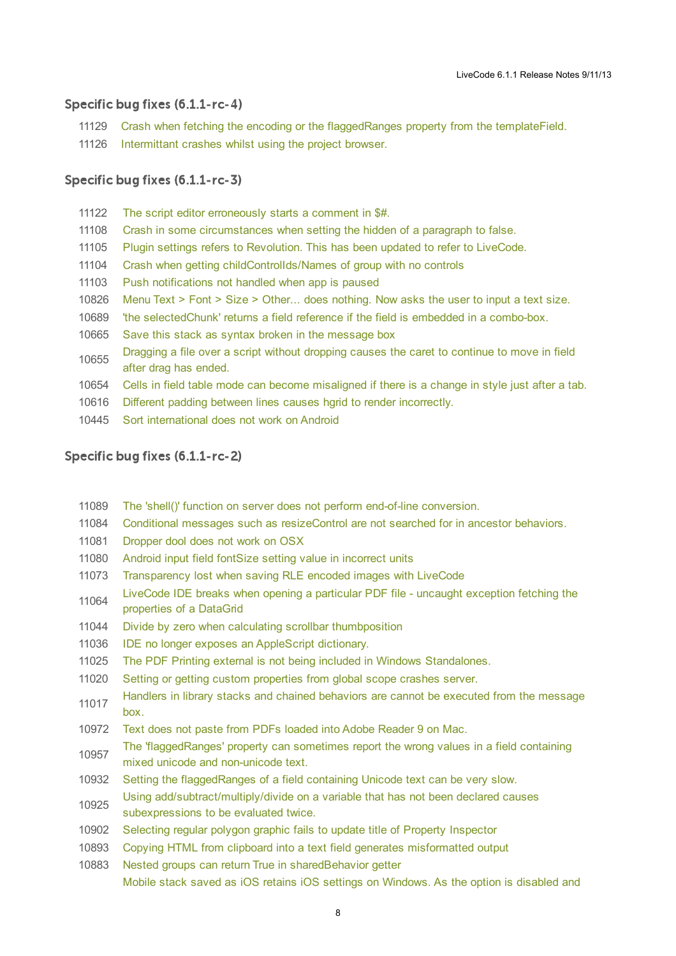#### <span id="page-7-0"></span>Specific bug fixes (6.1.1-rc-4)

- Crash when fetching the encoding or the [flaggedRanges](http://quality.runrev.com/show_bug.cgi?id=11129) property from the templateField.
- [Intermittant](http://quality.runrev.com/show_bug.cgi?id=11126) crashes whilst using the project browser.

#### <span id="page-7-1"></span>Specific bug fixes (6.1.1-rc-3)

- The script editor [erroneously](http://quality.runrev.com/show_bug.cgi?id=11122) starts a comment in \$#. Crash in some [circumstances](http://quality.runrev.com/show_bug.cgi?id=11108) when setting the hidden of a paragraph to false. Plugin settings refers to [Revolution.](http://quality.runrev.com/show_bug.cgi?id=11105) This has been updated to refer to LiveCode. Crash when getting [childControlIds/Names](http://quality.runrev.com/show_bug.cgi?id=11104) of group with no controls Push [notifications](http://quality.runrev.com/show_bug.cgi?id=11103) not handled when app is paused Menu Text > Font > Size > Other... does [nothing.](http://quality.runrev.com/show_bug.cgi?id=10826) Now asks the user to input a text size. 'the [selectedChunk'](http://quality.runrev.com/show_bug.cgi?id=10689) returns a field reference if the field is embedded in a combo-box. Save this stack as syntax broken in the [message](http://quality.runrev.com/show_bug.cgi?id=10665) box [Dragging](http://quality.runrev.com/show_bug.cgi?id=10655) a file over a script without dropping causes the caret to continue to move in field after drag has ended. Cells in field table mode can become [misaligned](http://quality.runrev.com/show_bug.cgi?id=10654) if there is a change in style just after a tab. Different padding between lines causes hgrid to render [incorrectly.](http://quality.runrev.com/show_bug.cgi?id=10616)
- Sort [international](http://quality.runrev.com/show_bug.cgi?id=10445) does not work on Android

### <span id="page-7-2"></span>Specific bug fixes (6.1.1-rc-2)

- The 'shell()' function on server does not perform end-of-line [conversion.](http://quality.runrev.com/show_bug.cgi?id=11089)
- Conditional messages such as [resizeControl](http://quality.runrev.com/show_bug.cgi?id=11084) are not searched for in ancestor behaviors.
- [Dropper](http://quality.runrev.com/show_bug.cgi?id=11081) dool does not work on OSX
- Android input field fontSize setting value in [incorrect](http://quality.runrev.com/show_bug.cgi?id=11080) units
- [Transparency](http://quality.runrev.com/show_bug.cgi?id=11073) lost when saving RLE encoded images with LiveCode
- LiveCode IDE breaks when opening a particular PDF file - uncaught [exception](http://quality.runrev.com/show_bug.cgi?id=11064) fetching the properties of a DataGrid
- Divide by zero when calculating scrollbar [thumbposition](http://quality.runrev.com/show_bug.cgi?id=11044)
- IDE no longer exposes an [AppleScript](http://quality.runrev.com/show_bug.cgi?id=11036) dictionary.
- The PDF Printing external is not being included in Windows [Standalones.](http://quality.runrev.com/show_bug.cgi?id=11025)
- Setting or getting custom [properties](http://quality.runrev.com/show_bug.cgi?id=11020) from global scope crashes server.
- Handlers in library stacks and chained [behaviors](http://quality.runrev.com/show_bug.cgi?id=11017) are cannot be executed from the message box.
- Text does not paste from PDFs loaded into Adobe [Reader](http://quality.runrev.com/show_bug.cgi?id=10972) 9 on Mac.
- The ['flaggedRanges'](http://quality.runrev.com/show_bug.cgi?id=10957) property can sometimes report the wrong values in a field containing mixed unicode and non-unicode text.
- Setting the [flaggedRanges](http://quality.runrev.com/show_bug.cgi?id=10932) of a field containing Unicode text can be very slow.
- Using [add/subtract/multiply/divide](http://quality.runrev.com/show_bug.cgi?id=10925) on a variable that has not been declared causes subexpressions to be evaluated twice.
- [Selecting](http://quality.runrev.com/show_bug.cgi?id=10902) regular polygon graphic fails to update title of Property Inspector
- Copying HTML from clipboard into a text field generates [misformatted](http://quality.runrev.com/show_bug.cgi?id=10893) output
- Nested groups can return True in [sharedBehavior](http://quality.runrev.com/show_bug.cgi?id=10883) getter Mobile stack saved as iOS retains iOS settings on Windows. As the option is disabled and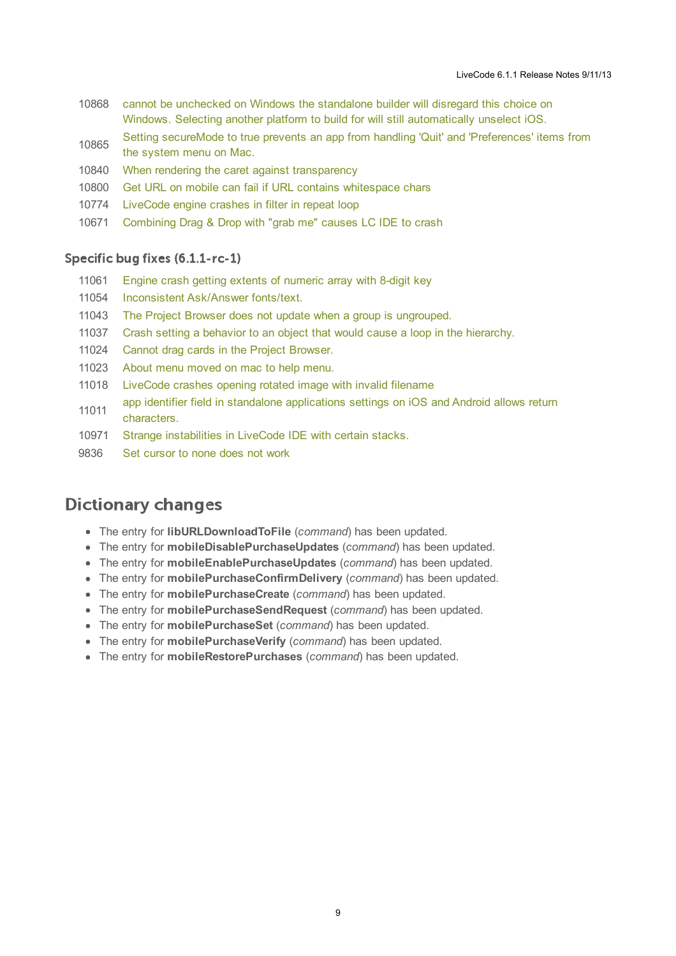- 10868 cannot be unchecked on Windows the standalone builder will disregard this choice on Windows. Selecting another platform to build for will still [automatically](http://quality.runrev.com/show_bug.cgi?id=10868) unselect iOS.
- 10865 Setting secureMode to true prevents an app from handling 'Quit' and ['Preferences'](http://quality.runrev.com/show_bug.cgi?id=10865) items from the system menu on Mac.
- 10840 When rendering the caret against [transparency](http://quality.runrev.com/show_bug.cgi?id=10840)
- 10800 Get URL on mobile can fail if URL contains [whitespace](http://quality.runrev.com/show_bug.cgi?id=10800) chars
- 10774 [LiveCode](http://quality.runrev.com/show_bug.cgi?id=10774) engine crashes in filter in repeat loop
- 10671 [Combining](http://quality.runrev.com/show_bug.cgi?id=10671) Drag & Drop with "grab me" causes LC IDE to crash

#### <span id="page-8-0"></span>Specific bug fixes (6.1.1-rc-1)

- 11061 Engine crash getting extents of [numeric](http://quality.runrev.com/show_bug.cgi?id=11061) array with 8-digit key
- 11054 [Inconsistent](http://quality.runrev.com/show_bug.cgi?id=11054) Ask/Answer fonts/text.
- 11043 The Project Browser does not update when a group is [ungrouped.](http://quality.runrev.com/show_bug.cgi?id=11043)
- 11037 Crash setting a behavior to an object that would cause a loop in the [hierarchy.](http://quality.runrev.com/show_bug.cgi?id=11037)
- 11024 Cannot drag cards in the Project [Browser.](http://quality.runrev.com/show_bug.cgi?id=11024)
- 11023 About menu [moved](http://quality.runrev.com/show_bug.cgi?id=11023) on mac to help menu.
- 11018 [LiveCode](http://quality.runrev.com/show_bug.cgi?id=11018) crashes opening rotated image with invalid filename
- 11011 app identifier field in standalone [applications](http://quality.runrev.com/show_bug.cgi?id=11011) settings on iOS and Android allows return characters.
- 10971 Strange [instabilities](http://quality.runrev.com/show_bug.cgi?id=10971) in LiveCode IDE with certain stacks.
- 9836 Set [cursor](http://quality.runrev.com/show_bug.cgi?id=9836) to none does not work

### <span id="page-8-1"></span>**Dictionary changes**

- The entry for **libURLDownloadToFile** (*command*) has been updated.
- The entry for **mobileDisablePurchaseUpdates** (*command*) has been updated.
- The entry for **mobileEnablePurchaseUpdates** (*command*) has been updated.
- The entry for **mobilePurchaseConfirmDelivery** (*command*) has been updated.
- The entry for **mobilePurchaseCreate** (*command*) has been updated.
- The entry for **mobilePurchaseSendRequest** (*command*) has been updated.
- The entry for **mobilePurchaseSet** (*command*) has been updated.
- The entry for **mobilePurchaseVerify** (*command*) has been updated.
- The entry for **mobileRestorePurchases** (*command*) has been updated.